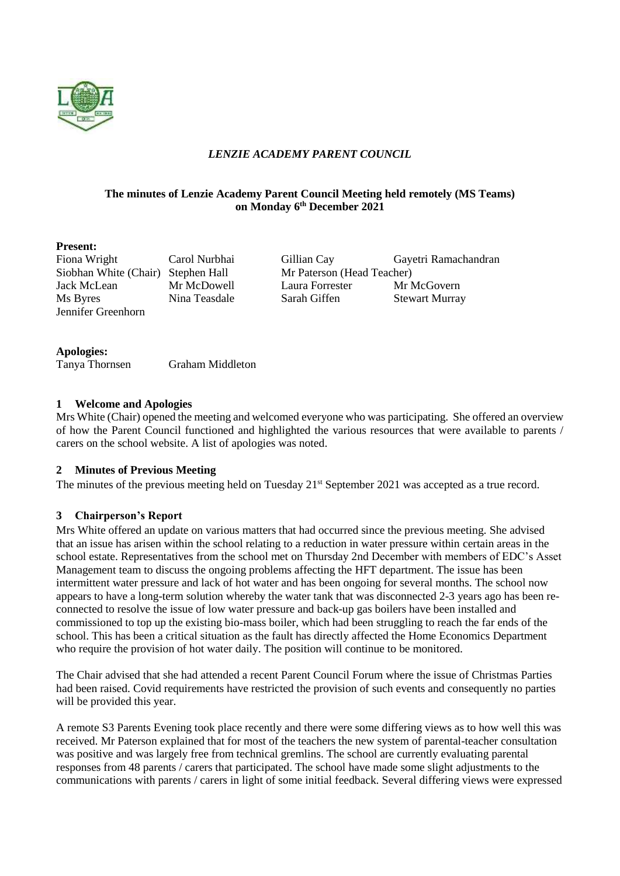

# *LENZIE ACADEMY PARENT COUNCIL*

### **The minutes of Lenzie Academy Parent Council Meeting held remotely (MS Teams) on Monday 6 th December 2021**

#### **Present:**

Siobhan White (Chair) Stephen Hall Mr Paterson (Head Teacher) Jennifer Greenhorn

Fiona Wright Carol Nurbhai Gillian Cay Gayetri Ramachandran Jack McLean Mr McDowell Laura Forrester Mr McGovern Ms Byres Nina Teasdale Sarah Giffen Stewart Murray

| <b>Apologies:</b> |                         |
|-------------------|-------------------------|
| Tanya Thornsen    | <b>Graham Middleton</b> |

#### **1 Welcome and Apologies**

Mrs White (Chair) opened the meeting and welcomed everyone who was participating. She offered an overview of how the Parent Council functioned and highlighted the various resources that were available to parents / carers on the school website. A list of apologies was noted.

## **2 Minutes of Previous Meeting**

The minutes of the previous meeting held on Tuesday 21<sup>st</sup> September 2021 was accepted as a true record.

## **3 Chairperson's Report**

Mrs White offered an update on various matters that had occurred since the previous meeting. She advised that an issue has arisen within the school relating to a reduction in water pressure within certain areas in the school estate. Representatives from the school met on Thursday 2nd December with members of EDC's Asset Management team to discuss the ongoing problems affecting the HFT department. The issue has been intermittent water pressure and lack of hot water and has been ongoing for several months. The school now appears to have a long-term solution whereby the water tank that was disconnected 2-3 years ago has been reconnected to resolve the issue of low water pressure and back-up gas boilers have been installed and commissioned to top up the existing bio-mass boiler, which had been struggling to reach the far ends of the school. This has been a critical situation as the fault has directly affected the Home Economics Department who require the provision of hot water daily. The position will continue to be monitored.

The Chair advised that she had attended a recent Parent Council Forum where the issue of Christmas Parties had been raised. Covid requirements have restricted the provision of such events and consequently no parties will be provided this year.

A remote S3 Parents Evening took place recently and there were some differing views as to how well this was received. Mr Paterson explained that for most of the teachers the new system of parental-teacher consultation was positive and was largely free from technical gremlins. The school are currently evaluating parental responses from 48 parents / carers that participated. The school have made some slight adjustments to the communications with parents / carers in light of some initial feedback. Several differing views were expressed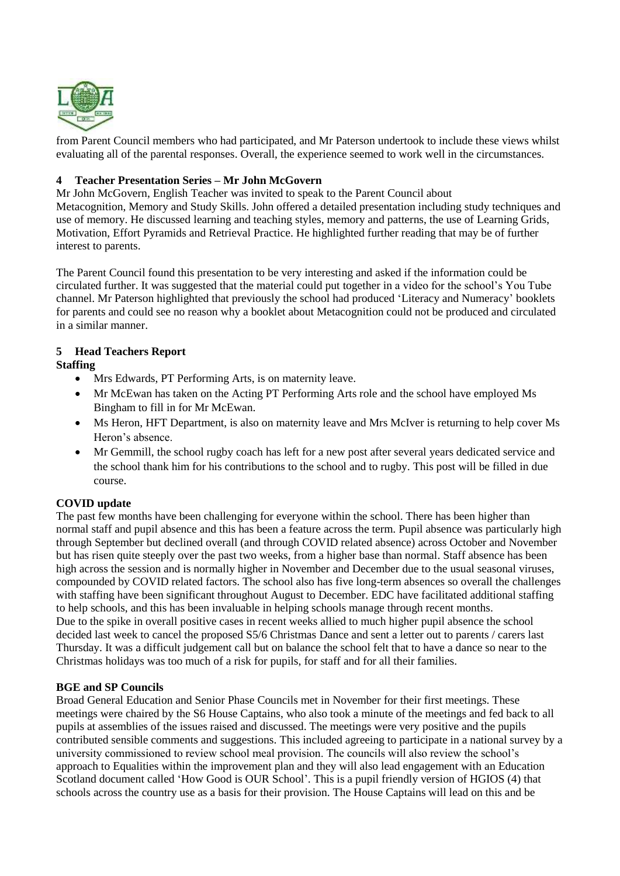

from Parent Council members who had participated, and Mr Paterson undertook to include these views whilst evaluating all of the parental responses. Overall, the experience seemed to work well in the circumstances.

### **4 Teacher Presentation Series – Mr John McGovern**

Mr John McGovern, English Teacher was invited to speak to the Parent Council about Metacognition, Memory and Study Skills. John offered a detailed presentation including study techniques and use of memory. He discussed learning and teaching styles, memory and patterns, the use of Learning Grids, Motivation, Effort Pyramids and Retrieval Practice. He highlighted further reading that may be of further interest to parents.

The Parent Council found this presentation to be very interesting and asked if the information could be circulated further. It was suggested that the material could put together in a video for the school's You Tube channel. Mr Paterson highlighted that previously the school had produced 'Literacy and Numeracy' booklets for parents and could see no reason why a booklet about Metacognition could not be produced and circulated in a similar manner.

# **5 Head Teachers Report**

## **Staffing**

- Mrs Edwards, PT Performing Arts, is on maternity leave.
- Mr McEwan has taken on the Acting PT Performing Arts role and the school have employed Ms Bingham to fill in for Mr McEwan.
- Ms Heron, HFT Department, is also on maternity leave and Mrs McIver is returning to help cover Ms Heron's absence.
- Mr Gemmill, the school rugby coach has left for a new post after several years dedicated service and the school thank him for his contributions to the school and to rugby. This post will be filled in due course.

#### **COVID update**

The past few months have been challenging for everyone within the school. There has been higher than normal staff and pupil absence and this has been a feature across the term. Pupil absence was particularly high through September but declined overall (and through COVID related absence) across October and November but has risen quite steeply over the past two weeks, from a higher base than normal. Staff absence has been high across the session and is normally higher in November and December due to the usual seasonal viruses, compounded by COVID related factors. The school also has five long-term absences so overall the challenges with staffing have been significant throughout August to December. EDC have facilitated additional staffing to help schools, and this has been invaluable in helping schools manage through recent months. Due to the spike in overall positive cases in recent weeks allied to much higher pupil absence the school decided last week to cancel the proposed S5/6 Christmas Dance and sent a letter out to parents / carers last Thursday. It was a difficult judgement call but on balance the school felt that to have a dance so near to the Christmas holidays was too much of a risk for pupils, for staff and for all their families.

#### **BGE and SP Councils**

Broad General Education and Senior Phase Councils met in November for their first meetings. These meetings were chaired by the S6 House Captains, who also took a minute of the meetings and fed back to all pupils at assemblies of the issues raised and discussed. The meetings were very positive and the pupils contributed sensible comments and suggestions. This included agreeing to participate in a national survey by a university commissioned to review school meal provision. The councils will also review the school's approach to Equalities within the improvement plan and they will also lead engagement with an Education Scotland document called 'How Good is OUR School'. This is a pupil friendly version of HGIOS (4) that schools across the country use as a basis for their provision. The House Captains will lead on this and be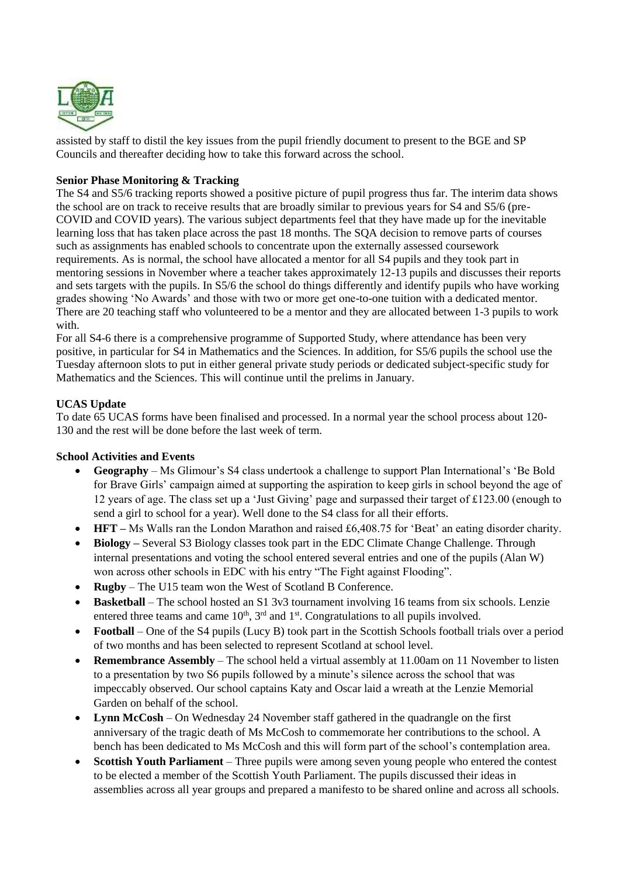

assisted by staff to distil the key issues from the pupil friendly document to present to the BGE and SP Councils and thereafter deciding how to take this forward across the school.

#### **Senior Phase Monitoring & Tracking**

The S4 and S5/6 tracking reports showed a positive picture of pupil progress thus far. The interim data shows the school are on track to receive results that are broadly similar to previous years for S4 and S5/6 (pre-COVID and COVID years). The various subject departments feel that they have made up for the inevitable learning loss that has taken place across the past 18 months. The SQA decision to remove parts of courses such as assignments has enabled schools to concentrate upon the externally assessed coursework requirements. As is normal, the school have allocated a mentor for all S4 pupils and they took part in mentoring sessions in November where a teacher takes approximately 12-13 pupils and discusses their reports and sets targets with the pupils. In S5/6 the school do things differently and identify pupils who have working grades showing 'No Awards' and those with two or more get one-to-one tuition with a dedicated mentor. There are 20 teaching staff who volunteered to be a mentor and they are allocated between 1-3 pupils to work with.

For all S4-6 there is a comprehensive programme of Supported Study, where attendance has been very positive, in particular for S4 in Mathematics and the Sciences. In addition, for S5/6 pupils the school use the Tuesday afternoon slots to put in either general private study periods or dedicated subject-specific study for Mathematics and the Sciences. This will continue until the prelims in January.

#### **UCAS Update**

To date 65 UCAS forms have been finalised and processed. In a normal year the school process about 120- 130 and the rest will be done before the last week of term.

#### **School Activities and Events**

- **Geography** Ms Glimour's S4 class undertook a challenge to support Plan International's 'Be Bold for Brave Girls' campaign aimed at supporting the aspiration to keep girls in school beyond the age of 12 years of age. The class set up a 'Just Giving' page and surpassed their target of £123.00 (enough to send a girl to school for a year). Well done to the S4 class for all their efforts.
- **HFT –** Ms Walls ran the London Marathon and raised £6,408.75 for 'Beat' an eating disorder charity.
- **Biology –** Several S3 Biology classes took part in the EDC Climate Change Challenge. Through internal presentations and voting the school entered several entries and one of the pupils (Alan W) won across other schools in EDC with his entry "The Fight against Flooding".
- **Rugby** The U15 team won the West of Scotland B Conference.
- **Basketball** The school hosted an S1 3v3 tournament involving 16 teams from six schools. Lenzie entered three teams and came  $10<sup>th</sup>$ ,  $3<sup>rd</sup>$  and  $1<sup>st</sup>$ . Congratulations to all pupils involved.
- **Football** One of the S4 pupils (Lucy B) took part in the Scottish Schools football trials over a period of two months and has been selected to represent Scotland at school level.
- **Remembrance Assembly** The school held a virtual assembly at 11.00am on 11 November to listen to a presentation by two S6 pupils followed by a minute's silence across the school that was impeccably observed. Our school captains Katy and Oscar laid a wreath at the Lenzie Memorial Garden on behalf of the school.
- **Lynn McCosh**  On Wednesday 24 November staff gathered in the quadrangle on the first anniversary of the tragic death of Ms McCosh to commemorate her contributions to the school. A bench has been dedicated to Ms McCosh and this will form part of the school's contemplation area.
- **Scottish Youth Parliament** Three pupils were among seven young people who entered the contest to be elected a member of the Scottish Youth Parliament. The pupils discussed their ideas in assemblies across all year groups and prepared a manifesto to be shared online and across all schools.